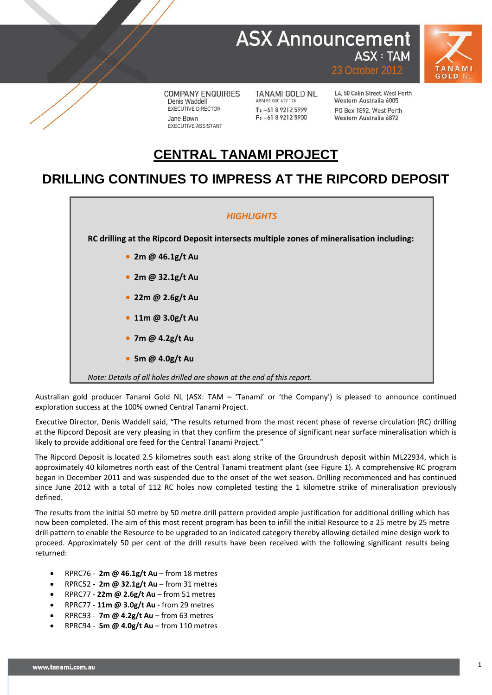## **ASX Announcement ASX: TAM**



**COMPANY ENQUIRIES** Denis Waddell EXECUTIVE DIRECTOR Jane Bown EXECUTIVE ASSISTANT

**TANAMI GOLD NL** ABN 51 000 617 176 T: +61 8 9212 5999  $F: +61892125900$ 

L4, 50 Colin Street, West Perth Western Australia 6005 PO Box 1892 West Perth Western Australia 6872

23 October 2012

### **CENTRAL TANAMI PROJECT**

#### **DRILLING CONTINUES TO IMPRESS AT THE RIPCORD DEPOSIT**



Australian gold producer Tanami Gold NL (ASX: TAM – 'Tanami' or 'the Company') is pleased to announce continued exploration success at the 100% owned Central Tanami Project.

Executive Director, Denis Waddell said, "The results returned from the most recent phase of reverse circulation (RC) drilling at the Ripcord Deposit are very pleasing in that they confirm the presence of significant near surface mineralisation which is likely to provide additional ore feed for the Central Tanami Project."

The Ripcord Deposit is located 2.5 kilometres south east along strike of the Groundrush deposit within ML22934, which is approximately 40 kilometres north east of the Central Tanami treatment plant (see Figure 1). A comprehensive RC program began in December 2011 and was suspended due to the onset of the wet season. Drilling recommenced and has continued since June 2012 with a total of 112 RC holes now completed testing the 1 kilometre strike of mineralisation previously defined.

The results from the initial 50 metre by 50 metre drill pattern provided ample justification for additional drilling which has now been completed. The aim of this most recent program has been to infill the initial Resource to a 25 metre by 25 metre drill pattern to enable the Resource to be upgraded to an Indicated category thereby allowing detailed mine design work to proceed. Approximately 50 per cent of the drill results have been received with the following significant results being returned:

- RPRC76 **2m @ 46.1g/t Au** from 18 metres
- RPRC52 **2m @ 32.1g/t Au** from 31 metres
- RPRC77 **22m @ 2.6g/t Au** from 51 metres
- RPRC77 **11m @ 3.0g/t Au** from 29 metres
- RPRC93 **7m @ 4.2g/t Au** from 63 metres
- RPRC94 **5m @ 4.0g/t Au** from 110 metres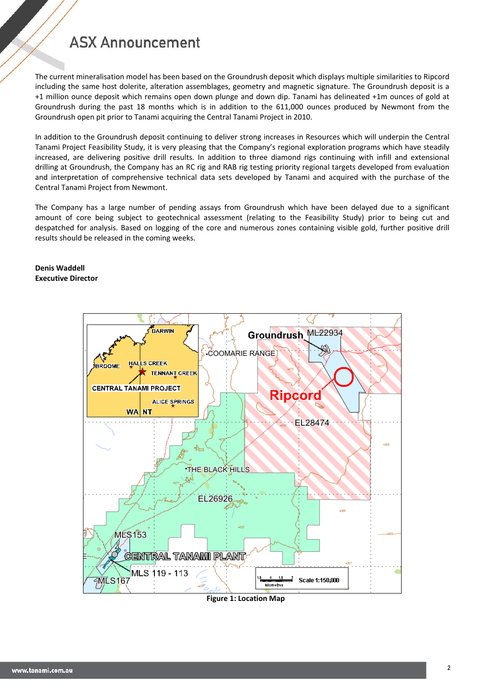## **ASX Announcement**

The current mineralisation model has been based on the Groundrush deposit which displays multiple similarities to Ripcord including the same host dolerite, alteration assemblages, geometry and magnetic signature. The Groundrush deposit is a +1 million ounce deposit which remains open down plunge and down dip. Tanami has delineated +1m ounces of gold at Groundrush during the past 18 months which is in addition to the 611,000 ounces produced by Newmont from the Groundrush open pit prior to Tanami acquiring the Central Tanami Project in 2010.

In addition to the Groundrush deposit continuing to deliver strong increases in Resources which will underpin the Central Tanami Project Feasibility Study, it is very pleasing that the Company's regional exploration programs which have steadily increased, are delivering positive drill results. In addition to three diamond rigs continuing with infill and extensional drilling at Groundrush, the Company has an RC rig and RAB rig testing priority regional targets developed from evaluation and interpretation of comprehensive technical data sets developed by Tanami and acquired with the purchase of the Central Tanami Project from Newmont.

The Company has a large number of pending assays from Groundrush which have been delayed due to a significant amount of core being subject to geotechnical assessment (relating to the Feasibility Study) prior to being cut and despatched for analysis. Based on logging of the core and numerous zones containing visible gold, further positive drill results should be released in the coming weeks.

#### **Denis Waddell Executive Director**



**Figure 1: Location Map**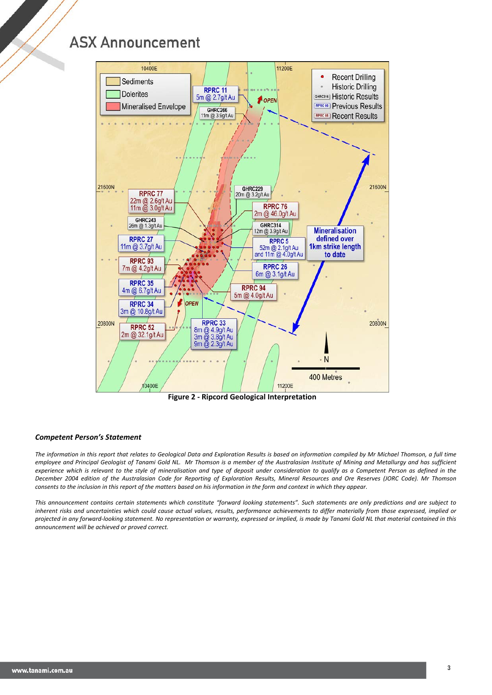## **ASX Announcement**



**Figure 2 - Ripcord Geological Interpretation**

#### *Competent Person's Statement*

*The information in this report that relates to Geological Data and Exploration Results is based on information compiled by Mr Michael Thomson, a full time employee and Principal Geologist of Tanami Gold NL. Mr Thomson is a member of the Australasian Institute of Mining and Metallurgy and has sufficient experience which is relevant to the style of mineralisation and type of deposit under consideration to qualify as a Competent Person as defined in the December 2004 edition of the Australasian Code for Reporting of Exploration Results, Mineral Resources and Ore Reserves (JORC Code). Mr Thomson consents to the inclusion in this report of the matters based on his information in the form and context in which they appear.*

*This announcement contains certain statements which constitute "forward looking statements". Such statements are only predictions and are subject to inherent risks and uncertainties which could cause actual values, results, performance achievements to differ materially from those expressed, implied or projected in any forward-looking statement. No representation or warranty, expressed or implied, is made by Tanami Gold NL that material contained in this announcement will be achieved or proved correct.*